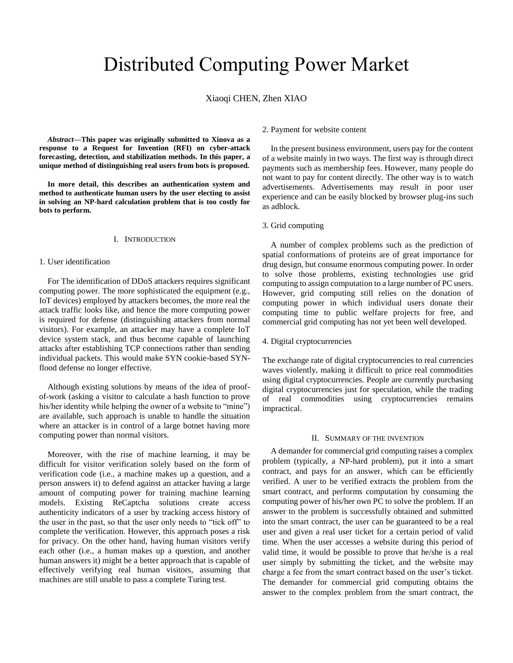# Distributed Computing Power Market

Xiaoqi CHEN, Zhen XIAO

*Abstract***—This paper was originally submitted to Xinova as a response to a Request for Invention (RFI) on cyber-attack forecasting, detection, and stabilization methods. In this paper, a unique method of distinguishing real users from bots is proposed.**

**In more detail, this describes an authentication system and method to authenticate human users by the user electing to assist in solving an NP-hard calculation problem that is too costly for bots to perform.**

# I. INTRODUCTION

## 1. User identification

For The identification of DDoS attackers requires significant computing power. The more sophisticated the equipment (e.g., IoT devices) employed by attackers becomes, the more real the attack traffic looks like, and hence the more computing power is required for defense (distinguishing attackers from normal visitors). For example, an attacker may have a complete IoT device system stack, and thus become capable of launching attacks after establishing TCP connections rather than sending individual packets. This would make SYN cookie-based SYNflood defense no longer effective.

Although existing solutions by means of the idea of proofof-work (asking a visitor to calculate a hash function to prove his/her identity while helping the owner of a website to "mine") are available, such approach is unable to handle the situation where an attacker is in control of a large botnet having more computing power than normal visitors.

Moreover, with the rise of machine learning, it may be difficult for visitor verification solely based on the form of verification code (i.e., a machine makes up a question, and a person answers it) to defend against an attacker having a large amount of computing power for training machine learning models. Existing ReCaptcha solutions create access authenticity indicators of a user by tracking access history of the user in the past, so that the user only needs to "tick off" to complete the verification. However, this approach poses a risk for privacy. On the other hand, having human visitors verify each other (i.e., a human makes up a question, and another human answers it) might be a better approach that is capable of effectively verifying real human visitors, assuming that machines are still unable to pass a complete Turing test.

#### 2. Payment for website content

In the present business environment, users pay for the content of a website mainly in two ways. The first way is through direct payments such as membership fees. However, many people do not want to pay for content directly. The other way is to watch advertisements. Advertisements may result in poor user experience and can be easily blocked by browser plug-ins such as adblock.

# 3. Grid computing

A number of complex problems such as the prediction of spatial conformations of proteins are of great importance for drug design, but consume enormous computing power. In order to solve those problems, existing technologies use grid computing to assign computation to a large number of PC users. However, grid computing still relies on the donation of computing power in which individual users donate their computing time to public welfare projects for free, and commercial grid computing has not yet been well developed.

# 4. Digital cryptocurrencies

The exchange rate of digital cryptocurrencies to real currencies waves violently, making it difficult to price real commodities using digital cryptocurrencies. People are currently purchasing digital cryptocurrencies just for speculation, while the trading of real commodities using cryptocurrencies remains impractical.

## II. SUMMARY OF THE INVENTION

A demander for commercial grid computing raises a complex problem (typically, a NP-hard problem), put it into a smart contract, and pays for an answer, which can be efficiently verified. A user to be verified extracts the problem from the smart contract, and performs computation by consuming the computing power of his/her own PC to solve the problem. If an answer to the problem is successfully obtained and submitted into the smart contract, the user can be guaranteed to be a real user and given a real user ticket for a certain period of valid time. When the user accesses a website during this period of valid time, it would be possible to prove that he/she is a real user simply by submitting the ticket, and the website may charge a fee from the smart contract based on the user's ticket. The demander for commercial grid computing obtains the answer to the complex problem from the smart contract, the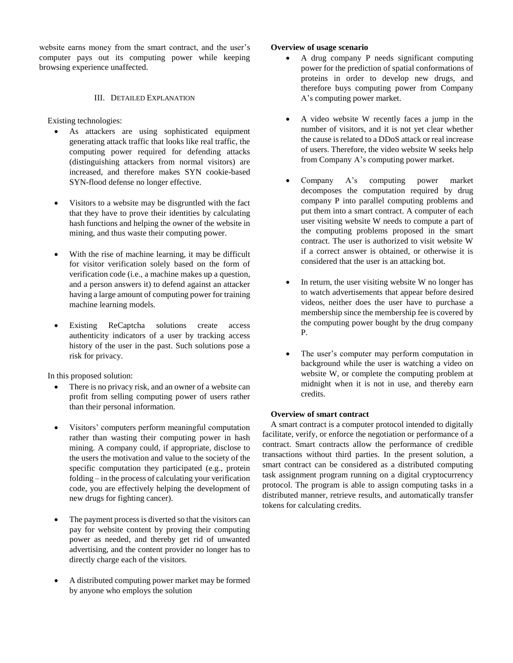website earns money from the smart contract, and the user's computer pays out its computing power while keeping browsing experience unaffected.

# III. DETAILED EXPLANATION

Existing technologies:

- As attackers are using sophisticated equipment generating attack traffic that looks like real traffic, the computing power required for defending attacks (distinguishing attackers from normal visitors) are increased, and therefore makes SYN cookie-based SYN-flood defense no longer effective.
- Visitors to a website may be disgruntled with the fact that they have to prove their identities by calculating hash functions and helping the owner of the website in mining, and thus waste their computing power.
- With the rise of machine learning, it may be difficult for visitor verification solely based on the form of verification code (i.e., a machine makes up a question, and a person answers it) to defend against an attacker having a large amount of computing power for training machine learning models.
- Existing ReCaptcha solutions create access authenticity indicators of a user by tracking access history of the user in the past. Such solutions pose a risk for privacy.

In this proposed solution:

- There is no privacy risk, and an owner of a website can profit from selling computing power of users rather than their personal information.
- Visitors' computers perform meaningful computation rather than wasting their computing power in hash mining. A company could, if appropriate, disclose to the users the motivation and value to the society of the specific computation they participated (e.g., protein folding – in the process of calculating your verification code, you are effectively helping the development of new drugs for fighting cancer).
- The payment process is diverted so that the visitors can pay for website content by proving their computing power as needed, and thereby get rid of unwanted advertising, and the content provider no longer has to directly charge each of the visitors.
- A distributed computing power market may be formed by anyone who employs the solution

# **Overview of usage scenario**

- A drug company P needs significant computing power for the prediction of spatial conformations of proteins in order to develop new drugs, and therefore buys computing power from Company A's computing power market.
- A video website W recently faces a jump in the number of visitors, and it is not yet clear whether the cause is related to a DDoS attack or real increase of users. Therefore, the video website W seeks help from Company A's computing power market.
- Company A's computing power market decomposes the computation required by drug company P into parallel computing problems and put them into a smart contract. A computer of each user visiting website W needs to compute a part of the computing problems proposed in the smart contract. The user is authorized to visit website W if a correct answer is obtained, or otherwise it is considered that the user is an attacking bot.
- In return, the user visiting website W no longer has to watch advertisements that appear before desired videos, neither does the user have to purchase a membership since the membership fee is covered by the computing power bought by the drug company P.
- The user's computer may perform computation in background while the user is watching a video on website W, or complete the computing problem at midnight when it is not in use, and thereby earn credits.

# **Overview of smart contract**

A smart contract is a computer protocol intended to digitally facilitate, verify, or enforce the negotiation or performance of a contract. Smart contracts allow the performance of credible transactions without third parties. In the present solution, a smart contract can be considered as a distributed computing task assignment program running on a digital cryptocurrency protocol. The program is able to assign computing tasks in a distributed manner, retrieve results, and automatically transfer tokens for calculating credits.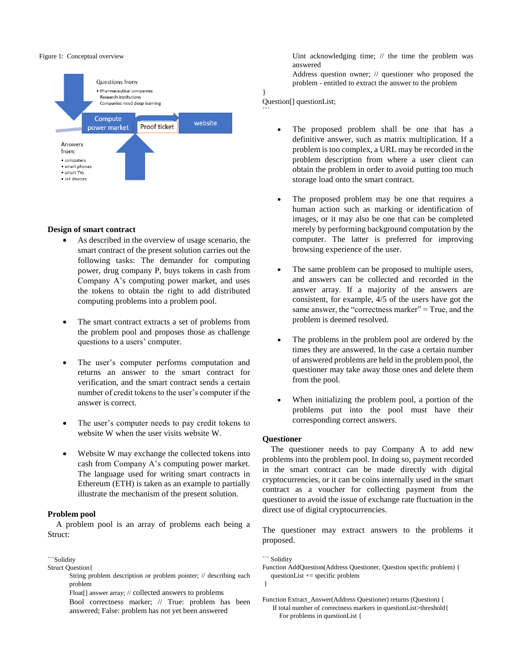#### Figure 1: Conceptual overview



#### **Design of smart contract**

- As described in the overview of usage scenario, the smart contract of the present solution carries out the following tasks: The demander for computing power, drug company P, buys tokens in cash from Company A's computing power market, and uses the tokens to obtain the right to add distributed computing problems into a problem pool.
- The smart contract extracts a set of problems from the problem pool and proposes those as challenge questions to a users' computer.
- The user's computer performs computation and returns an answer to the smart contract for verification, and the smart contract sends a certain number of credit tokens to the user's computer if the answer is correct.
- The user's computer needs to pay credit tokens to website W when the user visits website W.
- Website W may exchange the collected tokens into cash from Company A's computing power market. The language used for writing smart contracts in Ethereum (ETH) is taken as an example to partially illustrate the mechanism of the present solution.

#### **Problem pool**

A problem pool is an array of problems each being a Struct:

```Solidity

Struct Question{

String problem description or problem pointer; // describing each problem

Float[] answer array; // collected answers to problems

Bool correctness marker; // True: problem has been answered; False: problem has not yet been answered

Uint acknowledging time; // the time the problem was answered

Address question owner; // questioner who proposed the problem - entitled to extract the answer to the problem

Question[] questionList;

}

 $\ddot{\phantom{1}}$ 

- The proposed problem shall be one that has a definitive answer, such as matrix multiplication. If a problem is too complex, a URL may be recorded in the problem description from where a user client can obtain the problem in order to avoid putting too much storage load onto the smart contract.
- The proposed problem may be one that requires a human action such as marking or identification of images, or it may also be one that can be completed merely by performing background computation by the computer. The latter is preferred for improving browsing experience of the user.
- The same problem can be proposed to multiple users, and answers can be collected and recorded in the answer array. If a majority of the answers are consistent, for example, 4/5 of the users have got the same answer, the "correctness marker" = True, and the problem is deemed resolved.
- The problems in the problem pool are ordered by the times they are answered. In the case a certain number of answered problems are held in the problem pool, the questioner may take away those ones and delete them from the pool.
- When initializing the problem pool, a portion of the problems put into the pool must have their corresponding correct answers.

#### **Questioner**

The questioner needs to pay Company A to add new problems into the problem pool. In doing so, payment recorded in the smart contract can be made directly with digital cryptocurrencies, or it can be coins internally used in the smart contract as a voucher for collecting payment from the questioner to avoid the issue of exchange rate fluctuation in the direct use of digital cryptocurrencies.

The questioner may extract answers to the problems it proposed.

``` Solidity

- Function AddQuestion(Address Questioner, Question specific problem) { questionList += specific problem }
- Function Extract\_Answer(Address Questioner) returns (Question) { If total number of correctness markers in questionList>threshold{ For problems in questionList {